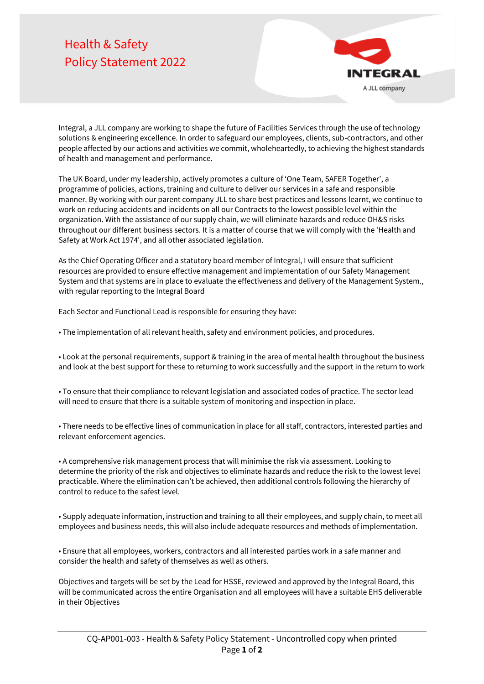## Health & Safety Policy Statement 2022



Integral, a JLL company are working to shape the future of Facilities Services through the use of technology solutions & engineering excellence. In order to safeguard our employees, clients, sub-contractors, and other people affected by our actions and activities we commit, wholeheartedly, to achieving the highest standards of health and management and performance.

The UK Board, under my leadership, actively promotes a culture of 'One Team, SAFER Together', a programme of policies, actions, training and culture to deliver our services in a safe and responsible manner. By working with our parent company JLL to share best practices and lessons learnt, we continue to work on reducing accidents and incidents on all our Contracts to the lowest possible level within the organization. With the assistance of our supply chain, we will eliminate hazards and reduce OH&S risks throughout our different business sectors. It is a matter of course that we will comply with the 'Health and Safety at Work Act 1974', and all other associated legislation.

As the Chief Operating Officer and a statutory board member of Integral, I will ensure that sufficient resources are provided to ensure effective management and implementation of our Safety Management System and that systems are in place to evaluate the effectiveness and delivery of the Management System., with regular reporting to the Integral Board

Each Sector and Functional Lead is responsible for ensuring they have:

• The implementation of all relevant health, safety and environment policies, and procedures.

• Look at the personal requirements, support & training in the area of mental health throughout the business and look at the best support for these to returning to work successfully and the support in the return to work

• To ensure that their compliance to relevant legislation and associated codes of practice. The sector lead will need to ensure that there is a suitable system of monitoring and inspection in place.

• There needs to be effective lines of communication in place for all staff, contractors, interested parties and relevant enforcement agencies.

• A comprehensive risk management process that will minimise the risk via assessment. Looking to determine the priority of the risk and objectives to eliminate hazards and reduce the risk to the lowest level practicable. Where the elimination can't be achieved, then additional controls following the hierarchy of control to reduce to the safest level.

• Supply adequate information, instruction and training to all their employees, and supply chain, to meet all employees and business needs, this will also include adequate resources and methods of implementation.

• Ensure that all employees, workers, contractors and all interested parties work in a safe manner and consider the health and safety of themselves as well as others.

Objectives and targets will be set by the Lead for HSSE, reviewed and approved by the Integral Board, this will be communicated across the entire Organisation and all employees will have a suitable EHS deliverable in their Objectives